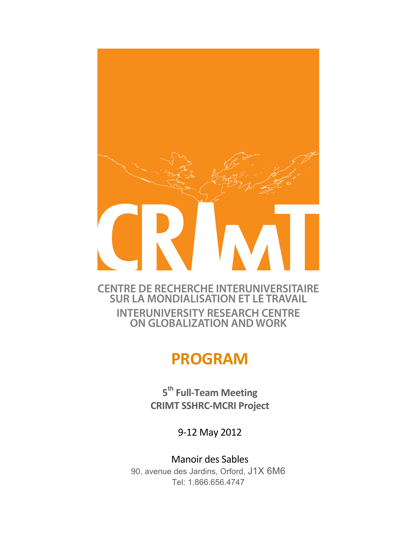

## **CENTRE DE RECHERCHE INTERUNIVERSITAIRE SUR LA MONDIALISATION ET LE TRAVAIL INTERUNIVERSITY RESEARCH CENTRE ON GLOBALIZATION AND WORK**

# **PROGRAM**

**5th Full.Team!Meeting CRIMT!SSHRC.MCRI!Project**

9-12 May 2012

Manoir des Sables 90, avenue des Jardins, Orford, J1X 6M6 Tel: 1.866.656.4747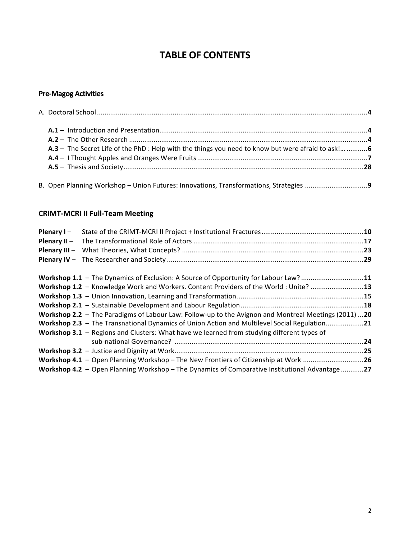# **TABLE OF CONTENTS**

## **Pre.Magog!Activities**

| A.3 - The Secret Life of the PhD : Help with the things you need to know but were afraid to ask!  6 |  |
|-----------------------------------------------------------------------------------------------------|--|
|                                                                                                     |  |
|                                                                                                     |  |
|                                                                                                     |  |
|                                                                                                     |  |
|                                                                                                     |  |

## **CRIMT-MCRI II Full-Team Meeting**

| Plenary I-                                                                                           |  |
|------------------------------------------------------------------------------------------------------|--|
|                                                                                                      |  |
|                                                                                                      |  |
|                                                                                                      |  |
|                                                                                                      |  |
| Workshop 1.1 - The Dynamics of Exclusion: A Source of Opportunity for Labour Law? 11                 |  |
| Workshop 1.2 - Knowledge Work and Workers. Content Providers of the World: Unite? 13                 |  |
|                                                                                                      |  |
|                                                                                                      |  |
| Workshop 2.2 - The Paradigms of Labour Law: Follow-up to the Avignon and Montreal Meetings (2011) 20 |  |
| Workshop 2.3 - The Transnational Dynamics of Union Action and Multilevel Social Regulation21         |  |
| Workshop 3.1 - Regions and Clusters: What have we learned from studying different types of           |  |
|                                                                                                      |  |
|                                                                                                      |  |
| Workshop 4.1 - Open Planning Workshop - The New Frontiers of Citizenship at Work 26                  |  |
| Workshop 4.2 - Open Planning Workshop - The Dynamics of Comparative Institutional Advantage 27       |  |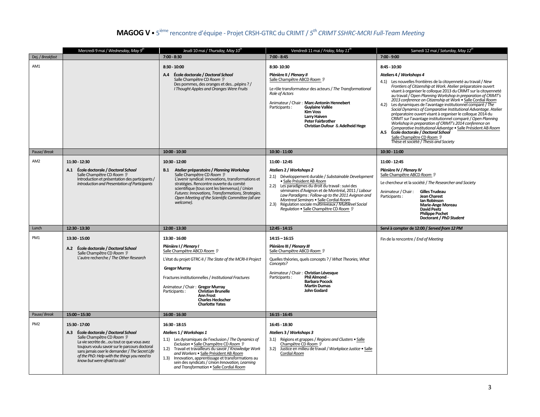#### **MAGOG%V** • 5 ième rencontre"d'équipe"4 Projet"CRSH4GTRC"du"CRIMT"/"*5 th CRIMT\$SSHRC,MCRI\$Full,Team\$Meeting*

|                     | Mercredi 9 mai / Wednesday, May 9 <sup>th</sup>                                                                                                                                                                                                                                                                      | Jeudi 10 mai / Thursday, May 10 <sup>th</sup>                                                                                                                                                                                                                                                                                                                                                              | Vendredi 11 mai / Friday, May 11"                                                                                                                                                                                                                                                                                                                                                                                                                | Samedi 12 mai / Saturday, May 12 <sup>th</sup>                                                                                                                                                                                                                                                                                                                                                                                                                                                                                                                                                                                                                                                                                                                                                                                                                                                                    |
|---------------------|----------------------------------------------------------------------------------------------------------------------------------------------------------------------------------------------------------------------------------------------------------------------------------------------------------------------|------------------------------------------------------------------------------------------------------------------------------------------------------------------------------------------------------------------------------------------------------------------------------------------------------------------------------------------------------------------------------------------------------------|--------------------------------------------------------------------------------------------------------------------------------------------------------------------------------------------------------------------------------------------------------------------------------------------------------------------------------------------------------------------------------------------------------------------------------------------------|-------------------------------------------------------------------------------------------------------------------------------------------------------------------------------------------------------------------------------------------------------------------------------------------------------------------------------------------------------------------------------------------------------------------------------------------------------------------------------------------------------------------------------------------------------------------------------------------------------------------------------------------------------------------------------------------------------------------------------------------------------------------------------------------------------------------------------------------------------------------------------------------------------------------|
| Dej. / Breakfast    |                                                                                                                                                                                                                                                                                                                      | $7:00 - 8:30$                                                                                                                                                                                                                                                                                                                                                                                              | $7:00 - 8:45$                                                                                                                                                                                                                                                                                                                                                                                                                                    | $7:00 - 9:00$                                                                                                                                                                                                                                                                                                                                                                                                                                                                                                                                                                                                                                                                                                                                                                                                                                                                                                     |
| AM1<br>Pause/ Break |                                                                                                                                                                                                                                                                                                                      | $8:30 - 10:00$<br>A.4 École doctorale / Doctoral School<br>Salle Champêtre CD Room ?<br>Des pommes, des oranges et despépins ? /<br>I Thought Apples and Oranges Were Fruits<br>$10:00 - 10:30$                                                                                                                                                                                                            | 8:30-10:30<br>Plénière II / Plenary II<br>Salle Champêtre ABCD Room ?<br>Le rôle transformateur des acteurs / The Transformational<br>Role of Actors<br>Animateur / Chair: Marc-Antonin Hennebert<br>Guylaine Vallée<br>Participants:<br>Kim Voss<br><b>Larry Haiven</b><br>Peter Fairbrother<br>Christian Dufour & Adelheid Hege<br>10:30 - 11:00                                                                                               | 8:45 - 10:30<br>Ateliers 4 / Workshops 4<br>4.1) Les nouvelles frontières de la citoyenneté au travail / New<br>Frontiers of Citizenship at Work. Atelier préparatoire ouvert<br>visant à organiser le colloque 2013 du CRIMT sur la citoyenneté<br>au travail / Open Planning Workshop in preparation of CRIMT's<br>2013 conference on Citizenship at Work . Salle Cordial Room<br>4.2)<br>Les dynamiques de l'avantage institutionnel comparé / The<br>Social Dynamics of Comparative Institutional Advantage. Atelier<br>préparatoire ouvert visant à organiser le colloque 2014 du<br>CRIMT sur l'avantage institutionnel comparé / Open Planning<br>Workshop in preparation of CRIMT's 2014 conference on<br>Comparative Institutional Advantge · Salle Président AB Room<br>École doctorale / Doctoral School<br>A.5<br>Salle Champêtre CD Room ?<br>Thèse et société / Thesis and Society<br>10:30 - 11:00 |
|                     |                                                                                                                                                                                                                                                                                                                      |                                                                                                                                                                                                                                                                                                                                                                                                            |                                                                                                                                                                                                                                                                                                                                                                                                                                                  |                                                                                                                                                                                                                                                                                                                                                                                                                                                                                                                                                                                                                                                                                                                                                                                                                                                                                                                   |
| AM <sub>2</sub>     | 11:30 - 12:30<br>A.1 École doctorale / Doctoral School<br>Salle Champêtre CD Room ?<br>Introduction et présentation des participants /<br>Introduction and Presentation of Participants                                                                                                                              | 10:30 - 12:00<br>B.1 Atelier préparatoire / Planning Workshop<br>Salle Champêtre CD Room ?<br>L'avenir syndical: innovations, transformations et<br>stratégies. Rencontre ouverte du comité<br>scientifique (tous sont les bienvenus) / Union<br>Futures: Innovations, Transformations, Strategies.<br>Open Meeting of the Scientific Committee (all are<br>welcome).                                      | 11:00 - 12:45<br>Ateliers 2 / Workshops 2<br>2.1) Développement durable / Substainable Development<br>· Salle Président AB Room<br>2.2) Les paradigmes du droit du travail : suivi des<br>séminaires d'Avignon et de Montréal, 2011 / Labour<br>Law Paradiams: Follow-up to the 2011 Avianon and<br>Montreal Seminars . Salle Cordial Room<br>2.3) Régulation sociale multiniveaux / Multilevel Social<br>Regulation • Salle Champêtre CD Room ? | 11:00 - 12:45<br>Plénière IV / Plenary IV<br>Salle Champêtre ABCD Room ?<br>Le chercheur et la société / The Researcher and Society<br>Animateur / Chair:<br><b>Gilles Trudeau</b><br>Participants:<br><b>Jean Charest</b><br>lan Robinson<br><b>Marie-Ange Moreau</b><br>David Peetz<br><b>Philippe Pochet</b><br>Doctorant / PhD Student                                                                                                                                                                                                                                                                                                                                                                                                                                                                                                                                                                        |
| Lunch               | 12:30 - 13:30                                                                                                                                                                                                                                                                                                        | 12:00 - 13:30                                                                                                                                                                                                                                                                                                                                                                                              | 12:45 - 14:15                                                                                                                                                                                                                                                                                                                                                                                                                                    | Servi à compter de 12:00 / Served from 12 PM                                                                                                                                                                                                                                                                                                                                                                                                                                                                                                                                                                                                                                                                                                                                                                                                                                                                      |
| PM1                 | 13:30 - 15:00<br>A.2 École doctorale / Doctoral School<br>Salle Champêtre CD Room ?<br>L'autre recherche / The Other Research                                                                                                                                                                                        | 13:30 - 16:00<br>Plénière I / Plenary I<br>Salle Champêtre ABCD Room ?<br>L'état du projet GTRC-II / The State of the MCRI-II Project<br><b>Gregor Murray</b><br>Fractures institutionnelles / Institutional Fractures<br>Animateur / Chair: Gregor Murray<br>Christian Brunelle<br>Participants:<br><b>Ann Frost</b><br><b>Charles Heckscher</b><br><b>Charlotte Yates</b>                                | $14:15 - 16:15$<br>Plénière III / Plenary III<br>Salle Champêtre ABCD Room ?<br>Quelles théories, quels concepts ? / What Theories, What<br>Concepts?<br>Animateur / Chair: Christian Lévesque<br>Phil Almond -<br>Participants:<br><b>Barbara Pocock</b><br><b>Martin Dumas</b><br>John Godard                                                                                                                                                  | Fin de la rencontre / End of Meeting                                                                                                                                                                                                                                                                                                                                                                                                                                                                                                                                                                                                                                                                                                                                                                                                                                                                              |
| Pause/ Break        | $15:00 - 15:30$                                                                                                                                                                                                                                                                                                      | 16:00 - 16:30                                                                                                                                                                                                                                                                                                                                                                                              | $16:15 - 16:45$                                                                                                                                                                                                                                                                                                                                                                                                                                  |                                                                                                                                                                                                                                                                                                                                                                                                                                                                                                                                                                                                                                                                                                                                                                                                                                                                                                                   |
| PM <sub>2</sub>     | 15:30 - 17:00<br>A.3 École doctorale / Doctoral School<br>Salle Champêtre CD Room ?<br>La vie secrète deou tout ce que vous avez<br>toujours voulu savoir sur le parcours doctoral<br>sans jamais oser le demander / The Secret Life<br>of the PhD: Help with the things you need to<br>know but were afraid to ask! | 16:30 - 18:15<br>Ateliers 1 / Workshops 1<br>1.1) Les dynamiques de l'exclusion / The Dynamics of<br>Exclusion · Salle Champêtre CD Room ?<br>Travail et travailleurs du savoir / Knowledge Work<br>1.2)<br>and Workers . Salle Président AB Room<br>1.3)<br>Innovation, apprentissage et transformations au<br>sein des syndicats / Union Innovation, Learning<br>and Transformation . Salle Cordial Room | 16:45 - 18:30<br>Ateliers 3 / Workshops 3<br>3.1) Régions et grappes / Regions and Clusters . Salle<br>Champêtre CD Room<br>Justice en milieu de travail / Workplace Justice · Salle<br>3.2)<br>Cordial Room                                                                                                                                                                                                                                     |                                                                                                                                                                                                                                                                                                                                                                                                                                                                                                                                                                                                                                                                                                                                                                                                                                                                                                                   |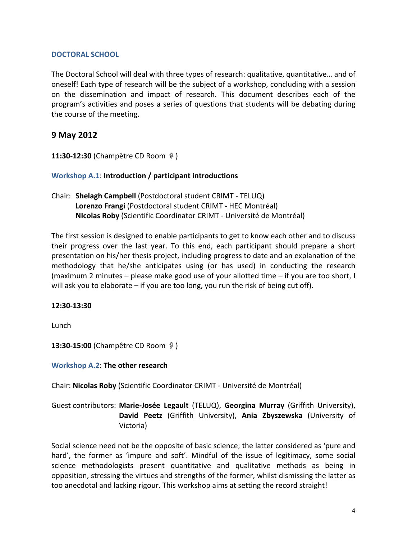#### DOCTORAL SCHOOL

The Doctoral School will deal with three types of research: qualitative, quantitative... and of oneself! Each type of research will be the subject of a workshop, concluding with a session on the dissemination and impact of research. This document describes each of the program's activities and poses a series of questions that students will be debating during the course of the meeting.

## **9(May(2012**

**11:30-12:30** (Champêtre CD Room )

## **Workshop A.1: Introduction / participant introductions**

Chair: **Shelagh Campbell** (Postdoctoral student CRIMT - TELUQ) Lorenzo Frangi (Postdoctoral student CRIMT - HEC Montréal) **NIcolas Roby** (Scientific Coordinator CRIMT - Université de Montréal)

The first session is designed to enable participants to get to know each other and to discuss their progress over the last year. To this end, each participant should prepare a short presentation on his/her thesis project, including progress to date and an explanation of the methodology that he/she anticipates using (or has used) in conducting the research (maximum 2 minutes – please make good use of your allotted time – if you are too short, I will ask you to elaborate – if you are too long, you run the risk of being cut off).

#### **12:30413:30**

Lunch

**13:30-15:00** (Champêtre CD Room )

**Workshop A.2: The other research** 

Chair: Nicolas Roby (Scientific Coordinator CRIMT - Université de Montréal)

Guest contributors: Marie-Josée Legault (TELUQ), Georgina Murray (Griffith University), David Peetz (Griffith University), Ania Zbyszewska (University of Victoria)

Social science need not be the opposite of basic science; the latter considered as 'pure and hard', the former as 'impure and soft'. Mindful of the issue of legitimacy, some social science methodologists present quantitative and qualitative methods as being in opposition, stressing the virtues and strengths of the former, whilst dismissing the latter as too anecdotal and lacking rigour. This workshop aims at setting the record straight!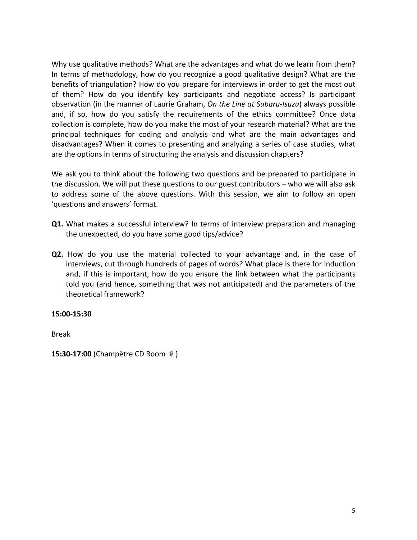Why use qualitative methods? What are the advantages and what do we learn from them? In terms of methodology, how do you recognize a good qualitative design? What are the benefits of triangulation? How do you prepare for interviews in order to get the most out of them? How do you identify key participants and negotiate access? Is participant observation (in the manner of Laurie Graham, *On the Line at Subaru-Isuzu*) always possible and, if so, how do you satisfy the requirements of the ethics committee? Once data collection is complete, how do you make the most of your research material? What are the principal techniques for coding and analysis and what are the main advantages and disadvantages? When it comes to presenting and analyzing a series of case studies, what are the options in terms of structuring the analysis and discussion chapters?

We ask you to think about the following two questions and be prepared to participate in the discussion. We will put these questions to our guest contributors – who we will also ask to address some of the above questions. With this session, we aim to follow an open 'questions and answers' format.

- Q1. What makes a successful interview? In terms of interview preparation and managing the unexpected, do you have some good tips/advice?
- **Q2.** How do you use the material collected to your advantage and, in the case of interviews, cut through hundreds of pages of words? What place is there for induction and, if this is important, how do you ensure the link between what the participants told you (and hence, something that was not anticipated) and the parameters of the theoretical framework?

#### **15:00415:30**

Break

**15:30-17:00** (Champêtre CD Room )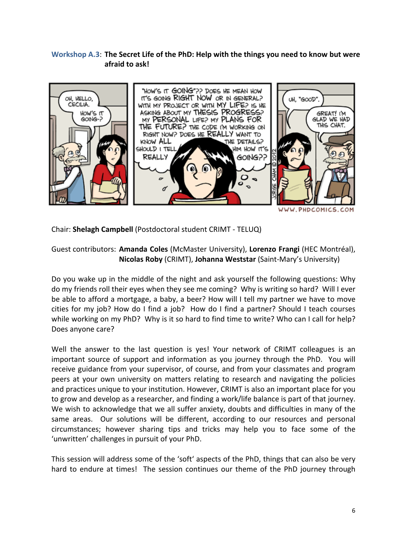## Workshop A.3: The Secret Life of the PhD: Help with the things you need to know but were afraid to ask!



WWW.PHDCOMICS.COM

Chair: **Shelagh Campbell** (Postdoctoral student CRIMT - TELUQ)

## Guest contributors: **Amanda Coles** (McMaster University), Lorenzo Frangi (HEC Montréal), Nicolas Roby (CRIMT), Johanna Weststar (Saint-Mary's University)

Do you wake up in the middle of the night and ask yourself the following questions: Why do my friends roll their eyes when they see me coming? Why is writing so hard? Will I ever be able to afford a mortgage, a baby, a beer? How will I tell my partner we have to move cities for my job? How do I find a job? How do I find a partner? Should I teach courses while working on my PhD? Why is it so hard to find time to write? Who can I call for help? Does anyone care?

Well the answer to the last question is yes! Your network of CRIMT colleagues is an important source of support and information as you journey through the PhD. You will receive guidance from your supervisor, of course, and from your classmates and program peers at your own university on matters relating to research and navigating the policies and practices unique to your institution. However, CRIMT is also an important place for you to grow and develop as a researcher, and finding a work/life balance is part of that journey. We wish to acknowledge that we all suffer anxiety, doubts and difficulties in many of the same areas. Our solutions will be different, according to our resources and personal circumstances; however sharing tips and tricks may help you to face some of the 'unwritten' challenges in pursuit of your PhD.

This session will address some of the 'soft' aspects of the PhD, things that can also be very hard to endure at times! The session continues our theme of the PhD journey through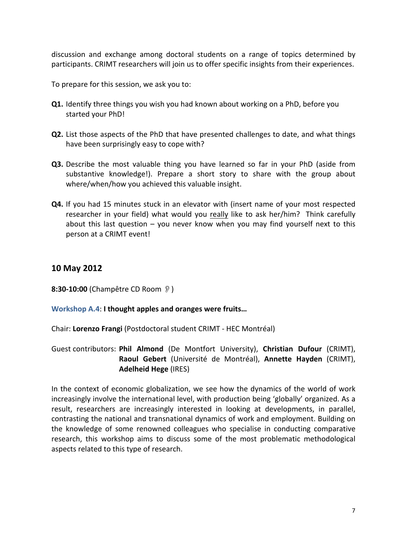discussion and exchange among doctoral students on a range of topics determined by participants. CRIMT researchers will join us to offer specific insights from their experiences.

To prepare for this session, we ask you to:

- **Q1.** Identify three things you wish you had known about working on a PhD, before you started your PhD!
- **Q2.** List those aspects of the PhD that have presented challenges to date, and what things have been surprisingly easy to cope with?
- **Q3.** Describe the most valuable thing you have learned so far in your PhD (aside from substantive knowledge!). Prepare a short story to share with the group about where/when/how you achieved this valuable insight.
- **Q4.** If you had 15 minutes stuck in an elevator with (insert name of your most respected researcher in your field) what would you really like to ask her/him? Think carefully about this last question  $-$  you never know when you may find yourself next to this person at a CRIMT event!

## **10(May(2012**

**8:30-10:00** (Champêtre CD Room  $\mathcal{D}$ )

#### Workshop A.4: I thought apples and oranges were fruits...

Chair: Lorenzo Frangi (Postdoctoral student CRIMT - HEC Montréal)

Guest contributors: Phil Almond (De Montfort University), Christian Dufour (CRIMT), Raoul Gebert (Université de Montréal), Annette Hayden (CRIMT), **Adelheid Hege** (IRES)

In the context of economic globalization, we see how the dynamics of the world of work increasingly involve the international level, with production being 'globally' organized. As a result, researchers are increasingly interested in looking at developments, in parallel, contrasting the national and transnational dynamics of work and employment. Building on the knowledge of some renowned colleagues who specialise in conducting comparative research, this workshop aims to discuss some of the most problematic methodological aspects related to this type of research.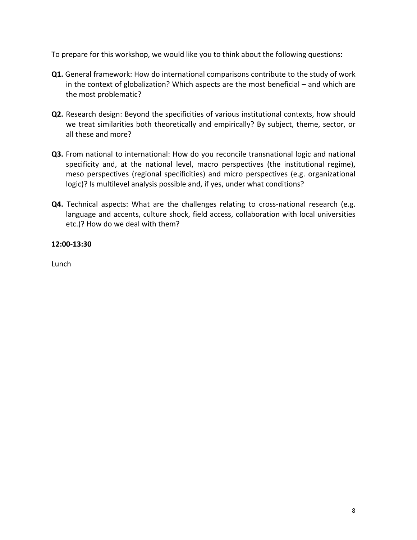To prepare for this workshop, we would like you to think about the following questions:

- **Q1.** General framework: How do international comparisons contribute to the study of work in the context of globalization? Which aspects are the most beneficial – and which are the most problematic?
- **Q2.** Research design: Beyond the specificities of various institutional contexts, how should we treat similarities both theoretically and empirically? By subject, theme, sector, or all these and more?
- **Q3.** From national to international: How do you reconcile transnational logic and national specificity and, at the national level, macro perspectives (the institutional regime), meso perspectives (regional specificities) and micro perspectives (e.g. organizational logic)? Is multilevel analysis possible and, if yes, under what conditions?
- **Q4.** Technical aspects: What are the challenges relating to cross-national research (e.g. language and accents, culture shock, field access, collaboration with local universities etc.)? How do we deal with them?

#### **12:00413:30**

Lunch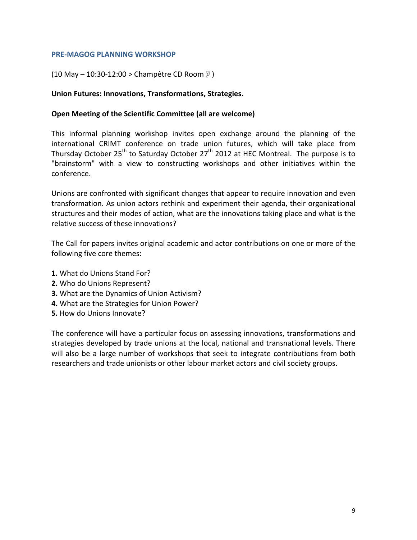#### **PRE-MAGOG PLANNING WORKSHOP**

#### (10 May – 10:30-12:00 > Champêtre CD Room  $\mathcal{D}$ )

#### Union Futures: Innovations, Transformations, Strategies.

#### **Open Meeting of the Scientific Committee (all are welcome)**

This informal planning workshop invites open exchange around the planning of the international CRIMT conference on trade union futures, which will take place from Thursday October 25<sup>th</sup> to Saturday October 27<sup>th</sup> 2012 at HEC Montreal. The purpose is to "brainstorm" with a view to constructing workshops and other initiatives within the conference.

Unions are confronted with significant changes that appear to require innovation and even transformation. As union actors rethink and experiment their agenda, their organizational structures and their modes of action, what are the innovations taking place and what is the relative success of these innovations?

The Call for papers invites original academic and actor contributions on one or more of the following five core themes:

- **1.** What do Unions Stand For?
- **2.** Who do Unions Represent?
- **3.** What are the Dynamics of Union Activism?
- 4. What are the Strategies for Union Power?
- **5.** How do Unions Innovate?

The conference will have a particular focus on assessing innovations, transformations and strategies developed by trade unions at the local, national and transnational levels. There will also be a large number of workshops that seek to integrate contributions from both researchers and trade unionists or other labour market actors and civil society groups.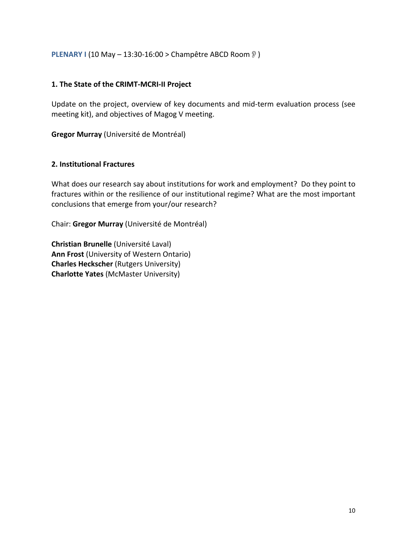#### **PLENARY I** (10 May – 13:30-16:00 > Champêtre ABCD Room )

#### 1. The State of the CRIMT-MCRI-II Project

Update on the project, overview of key documents and mid-term evaluation process (see meeting kit), and objectives of Magog V meeting.

**Gregor Murray** (Université de Montréal)

#### **2. Institutional Fractures**

What does our research say about institutions for work and employment? Do they point to fractures within or the resilience of our institutional regime? What are the most important conclusions that emerge from your/our research?

Chair: Gregor Murray (Université de Montréal)

**Christian Brunelle** (Université Laval) Ann Frost (University of Western Ontario) **Charles Heckscher** (Rutgers University) **Charlotte Yates (McMaster University)**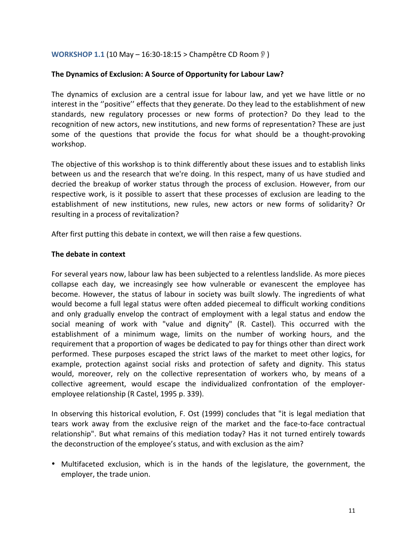#### **WORKSHOP 1.1 (10 May – 16:30-18:15 > Champêtre CD Room**  $\sqrt[9]{ }$ **)**

#### The Dynamics of Exclusion: A Source of Opportunity for Labour Law?

The dynamics of exclusion are a central issue for labour law, and yet we have little or no interest in the "positive" effects that they generate. Do they lead to the establishment of new standards, new regulatory processes or new forms of protection? Do they lead to the recognition of new actors, new institutions, and new forms of representation? These are just some of the questions that provide the focus for what should be a thought-provoking workshop.

The objective of this workshop is to think differently about these issues and to establish links between us and the research that we're doing. In this respect, many of us have studied and decried the breakup of worker status through the process of exclusion. However, from our respective work, is it possible to assert that these processes of exclusion are leading to the establishment of new institutions, new rules, new actors or new forms of solidarity? Or resulting in a process of revitalization?

After first putting this debate in context, we will then raise a few questions.

#### **The debate in context**

For several years now, labour law has been subjected to a relentless landslide. As more pieces collapse each day, we increasingly see how vulnerable or evanescent the employee has become. However, the status of labour in society was built slowly. The ingredients of what would become a full legal status were often added piecemeal to difficult working conditions and only gradually envelop the contract of employment with a legal status and endow the social meaning of work with "value and dignity" (R. Castel). This occurred with the establishment of a minimum wage, limits on the number of working hours, and the requirement that a proportion of wages be dedicated to pay for things other than direct work performed. These purposes escaped the strict laws of the market to meet other logics, for example, protection against social risks and protection of safety and dignity. This status would, moreover, rely on the collective representation of workers who, by means of a collective agreement, would escape the individualized confrontation of the employeremployee relationship (R Castel, 1995 p. 339).

In observing this historical evolution, F. Ost (1999) concludes that "it is legal mediation that tears work away from the exclusive reign of the market and the face-to-face contractual relationship". But what remains of this mediation today? Has it not turned entirely towards the deconstruction of the employee's status, and with exclusion as the aim?

• Multifaceted exclusion, which is in the hands of the legislature, the government, the employer, the trade union.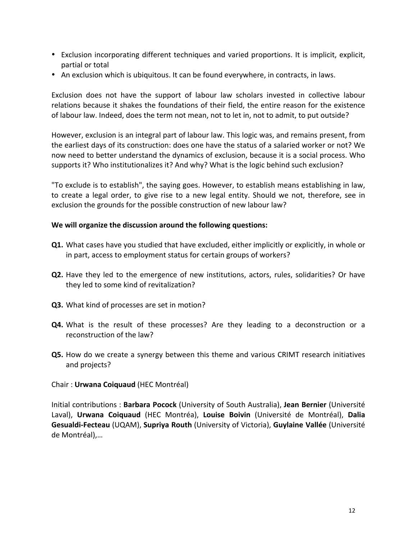- Exclusion incorporating different techniques and varied proportions. It is implicit, explicit, partial or total
- An exclusion which is ubiquitous. It can be found everywhere, in contracts, in laws.

Exclusion does not have the support of labour law scholars invested in collective labour relations because it shakes the foundations of their field, the entire reason for the existence of labour law. Indeed, does the term not mean, not to let in, not to admit, to put outside?

However, exclusion is an integral part of labour law. This logic was, and remains present, from the earliest days of its construction: does one have the status of a salaried worker or not? We now need to better understand the dynamics of exclusion, because it is a social process. Who supports it? Who institutionalizes it? And why? What is the logic behind such exclusion?

"To exclude is to establish", the saying goes. However, to establish means establishing in law, to create a legal order, to give rise to a new legal entity. Should we not, therefore, see in exclusion the grounds for the possible construction of new labour law?

#### We will organize the discussion around the following questions:

- **Q1.** What cases have you studied that have excluded, either implicitly or explicitly, in whole or in part, access to employment status for certain groups of workers?
- **Q2.** Have they led to the emergence of new institutions, actors, rules, solidarities? Or have they led to some kind of revitalization?
- **Q3.** What kind of processes are set in motion?
- **Q4.** What is the result of these processes? Are they leading to a deconstruction or a reconstruction of the law?
- **Q5.** How do we create a synergy between this theme and various CRIMT research initiatives and projects?
- Chair : **Urwana Coiquaud** (HEC Montréal)

Initial contributions: Barbara Pocock (University of South Australia), Jean Bernier (Université Laval), Urwana Coiquaud (HEC Montréa), Louise Boivin (Université de Montréal), Dalia **Gesualdi-Fecteau** (UQAM), **Supriya Routh** (University of Victoria), **Guylaine Vallée** (Université de Montréal),...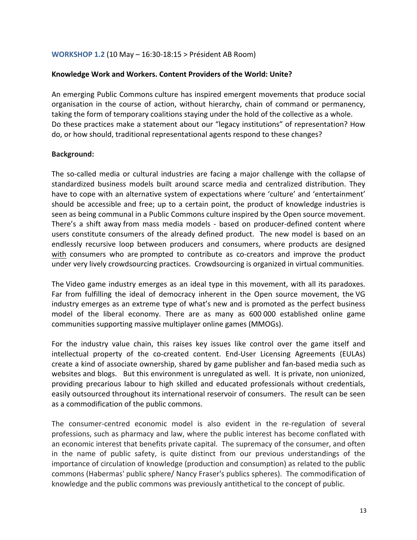#### **WORKSHOP 1.2 (10 May – 16:30-18:15 > Président AB Room)**

#### Knowledge Work and Workers. Content Providers of the World: Unite?

An emerging Public Commons culture has inspired emergent movements that produce social organisation in the course of action, without hierarchy, chain of command or permanency, taking the form of temporary coalitions staying under the hold of the collective as a whole. Do these practices make a statement about our "legacy institutions" of representation? How do, or how should, traditional representational agents respond to these changes?

#### **Background:**

The so-called media or cultural industries are facing a major challenge with the collapse of standardized business models built around scarce media and centralized distribution. They have to cope with an alternative system of expectations where 'culture' and 'entertainment' should be accessible and free; up to a certain point, the product of knowledge industries is seen as being communal in a Public Commons culture inspired by the Open source movement. There's a shift away from mass media models - based on producer-defined content where users constitute consumers of the already defined product. The new model is based on an endlessly recursive loop between producers and consumers, where products are designed with consumers who are prompted to contribute as co-creators and improve the product under very lively crowdsourcing practices. Crowdsourcing is organized in virtual communities.

The Video game industry emerges as an ideal type in this movement, with all its paradoxes. Far from fulfilling the ideal of democracy inherent in the Open source movement, the VG industry emerges as an extreme type of what's new and is promoted as the perfect business model of the liberal economy. There are as many as 600 000 established online game communities supporting massive multiplayer online games (MMOGs).

For the industry value chain, this raises key issues like control over the game itself and intellectual property of the co-created content. End-User Licensing Agreements (EULAs) create a kind of associate ownership, shared by game publisher and fan-based media such as websites and blogs. "But this environment is unregulated as well. It is private, non unionized, providing precarious labour to high skilled and educated professionals without credentials, easily outsourced throughout its international reservoir of consumers. The result can be seen as a commodification of the public commons.

The consumer-centred economic model is also evident in the re-regulation of several professions, such as pharmacy and law, where the public interest has become conflated with an economic interest that benefits private capital. The supremacy of the consumer, and often in the name of public safety, is quite distinct from our previous understandings of the importance of circulation of knowledge (production and consumption) as related to the public commons (Habermas' public sphere/ Nancy Fraser's publics spheres). The commodification of knowledge and the public commons was previously antithetical to the concept of public.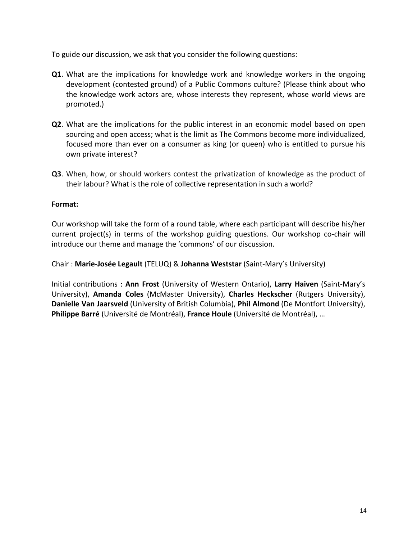To guide our discussion, we ask that you consider the following questions:

- **Q1**. What are the implications for knowledge work and knowledge workers in the ongoing development (contested ground) of a Public Commons culture? (Please think about who the knowledge work actors are, whose interests they represent, whose world views are promoted.)
- **Q2**. What are the implications for the public interest in an economic model based on open sourcing and open access; what is the limit as The Commons become more individualized, focused more than ever on a consumer as king (or queen) who is entitled to pursue his own private interest?
- **Q3**. When, how, or should workers contest the privatization of knowledge as the product of their labour? What is the role of collective representation in such a world?

#### **Format:**

Our workshop will take the form of a round table, where each participant will describe his/her current project(s) in terms of the workshop guiding questions. Our workshop co-chair will introduce our theme and manage the 'commons' of our discussion.

Chair : Marie-Josée Legault (TELUQ) & Johanna Weststar (Saint-Mary's University)

Initial contributions: **Ann Frost** (University of Western Ontario), Larry Haiven (Saint-Mary's University), Amanda Coles (McMaster University), Charles Heckscher (Rutgers University), **Danielle Van Jaarsveld** (University of British Columbia), Phil Almond (De Montfort University), **Philippe Barré** (Université de Montréal), France Houle (Université de Montréal), …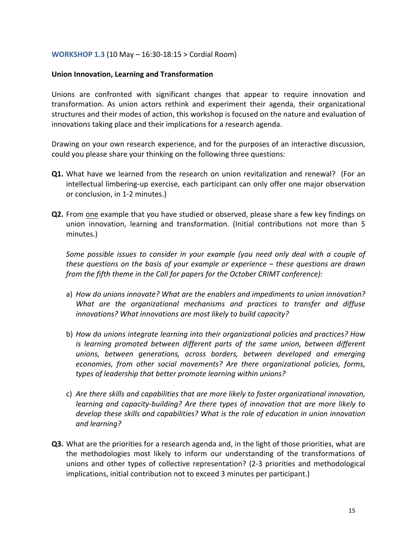#### **WORKSHOP 1.3 (10 May – 16:30-18:15 > Cordial Room)**

#### Union Innovation, Learning and Transformation

Unions are confronted with significant changes that appear to require innovation and transformation. As union actors rethink and experiment their agenda, their organizational structures and their modes of action, this workshop is focused on the nature and evaluation of innovations taking place and their implications for a research agenda.

Drawing on your own research experience, and for the purposes of an interactive discussion, could you please share your thinking on the following three questions:

- **Q1.** What have we learned from the research on union revitalization and renewal? (For an intellectual limbering-up exercise, each participant can only offer one major observation or conclusion, in 1-2 minutes.)
- **Q2.** From one example that you have studied or observed, please share a few key findings on union innovation, learning and transformation. (Initial contributions not more than 5" minutes.)

*Some possible issues to consider in your example (you need only deal with a couple of these questions on the basis of your example or experience – these questions are drawn from the fifth theme in the Call for papers for the October CRIMT conference):* 

- a) *How do unions innovate? What are the enablers and impediments to union innovation? What are the organizational mechanisms and practices to transfer and diffuse innovations? What innovations are most likely to build capacity?*
- b) *How do unions integrate learning into their organizational policies and practices? How is learning promoted between different parts of the same union, between different unions,# between# generations,# across# borders,# between# developed# and# emerging#* economies, from other social movements? Are there organizational policies, forms, *types of leadership that better promote learning within unions?*
- c) *Are there skills and capabilities that are more likely to foster organizational innovation, learning and capacity-building? Are there types of innovation that are more likely to* develop these skills and capabilities? What is the role of education in union innovation and learning?
- **Q3.** What are the priorities for a research agenda and, in the light of those priorities, what are the methodologies most likely to inform our understanding of the transformations of unions and other types of collective representation? (2-3 priorities and methodological implications, initial contribution not to exceed 3 minutes per participant.)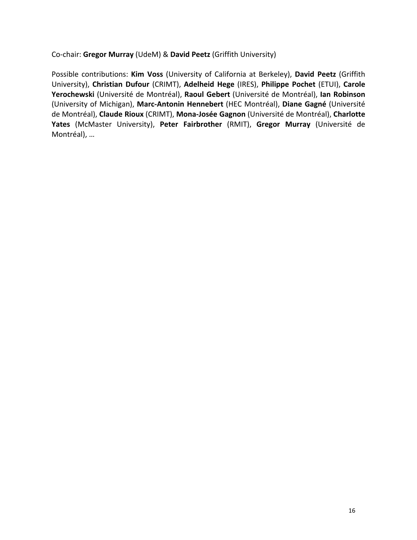Co-chair: Gregor Murray (UdeM) & David Peetz (Griffith University)

Possible contributions: Kim Voss (University of California at Berkeley), David Peetz (Griffith University),"**Christian( Dufour** (CRIMT),"**Adelheid( Hege** (IRES),"**Philippe( Pochet** (ETUI),"**Carole(** Yerochewski (Université de Montréal), Raoul Gebert (Université de Montréal), lan Robinson (University of Michigan), Marc-Antonin Hennebert (HEC Montréal), Diane Gagné (Université de Montréal), Claude Rioux (CRIMT), Mona-Josée Gagnon (Université de Montréal), Charlotte Yates (McMaster University), Peter Fairbrother (RMIT), Gregor Murray (Université de Montréal), ...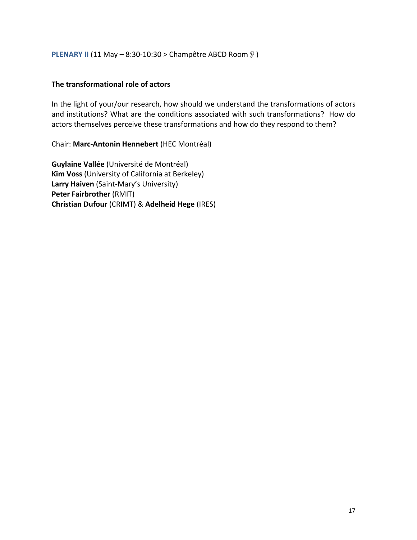**PLENARY II** (11 May – 8:30-10:30 > Champêtre ABCD Room  $\sqrt[9]{ }$ )

#### **The transformational role of actors**

In the light of your/our research, how should we understand the transformations of actors and institutions? What are the conditions associated with such transformations? How do actors themselves perceive these transformations and how do they respond to them?

Chair: Marc-Antonin Hennebert (HEC Montréal)

**Guylaine Vallée** (Université de Montréal) **Kim Voss** (University of California at Berkeley) Larry Haiven (Saint-Mary's University) **Peter Fairbrother** (RMIT) **Christian Dufour (CRIMT) & Adelheid Hege (IRES)**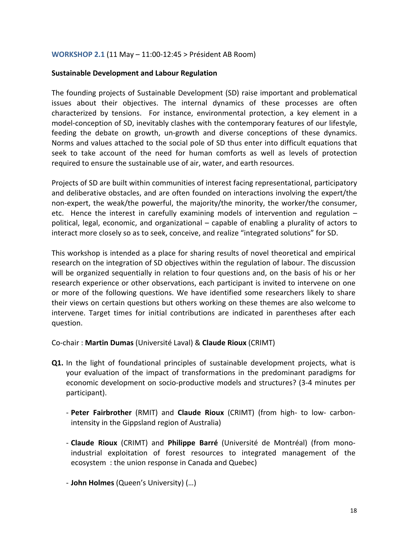#### **WORKSHOP 2.1 (11 May – 11:00-12:45 > Président AB Room)**

#### **Sustainable Development and Labour Regulation**

The founding projects of Sustainable Development (SD) raise important and problematical issues about their objectives. The internal dynamics of these processes are often characterized by tensions. For instance, environmental protection, a key element in a model-conception of SD, inevitably clashes with the contemporary features of our lifestyle, feeding the debate on growth, un-growth and diverse conceptions of these dynamics. Norms and values attached to the social pole of SD thus enter into difficult equations that seek to take account of the need for human comforts as well as levels of protection required to ensure the sustainable use of air, water, and earth resources.

Projects of SD are built within communities of interest facing representational, participatory and deliberative obstacles, and are often founded on interactions involving the expert/the non-expert, the weak/the powerful, the majority/the minority, the worker/the consumer, etc. Hence the interest in carefully examining models of intervention and regulation  $$ political, legal, economic, and organizational – capable of enabling a plurality of actors to interact more closely so as to seek, conceive, and realize "integrated solutions" for SD.

This workshop is intended as a place for sharing results of novel theoretical and empirical research on the integration of SD objectives within the regulation of labour. The discussion will be organized sequentially in relation to four questions and, on the basis of his or her research experience or other observations, each participant is invited to intervene on one or more of the following questions. We have identified some researchers likely to share their views on certain questions but others working on these themes are also welcome to intervene. Target times for initial contributions are indicated in parentheses after each question.

Co-chair : Martin Dumas (Université Laval) & Claude Rioux (CRIMT)

- **Q1.** In the light of foundational principles of sustainable development projects, what is your evaluation of the impact of transformations in the predominant paradigms for economic development on socio-productive models and structures? (3-4 minutes per participant).
	- Peter Fairbrother (RMIT) and Claude Rioux (CRIMT) (from high- to low- carbonintensity in the Gippsland region of Australia)
	- **Claude Rioux** (CRIMT) and **Philippe Barré** (Université de Montréal) (from monoindustrial exploitation of forest resources to integrated management of the ecosystem: the union response in Canada and Quebec)

- **John Holmes** (Queen's University) (...)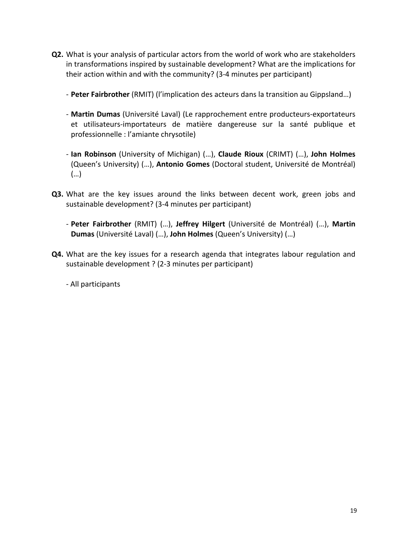- **Q2.** What is your analysis of particular actors from the world of work who are stakeholders in transformations inspired by sustainable development? What are the implications for their action within and with the community? (3-4 minutes per participant)
	- Peter Fairbrother (RMIT) (l'implication des acteurs dans la transition au Gippsland...)
	- Martin Dumas (Université Laval) (Le rapprochement entre producteurs-exportateurs et utilisateurs-importateurs de matière dangereuse sur la santé publique et professionnelle : l'amiante chrysotile)
	- Ian Robinson (University of Michigan) (...), Claude Rioux (CRIMT) (...), John Holmes (Queen's University) (…), **Antonio Gomes** (Doctoral student, Université de Montréal) (…)
- Q3. What are the key issues around the links between decent work, green jobs and sustainable development? (3-4 minutes per participant)
	- Peter Fairbrother (RMIT) (...), Jeffrey Hilgert (Université de Montréal) (...), Martin **Dumas** (Université Laval) (…), John Holmes (Queen's University) (…)
- **Q4.** What are the key issues for a research agenda that integrates labour regulation and sustainable development ? (2-3 minutes per participant)

- All participants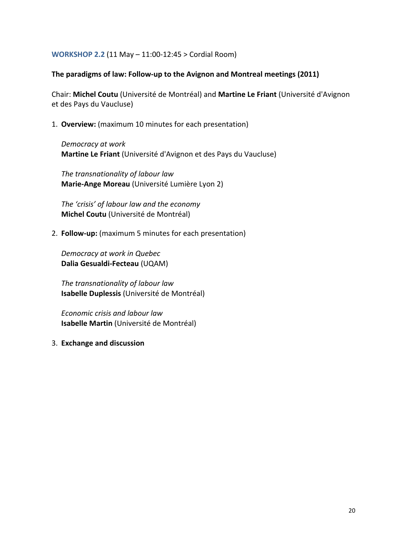**WORKSHOP 2.2 (11 May – 11:00-12:45 > Cordial Room)** 

#### The paradigms of law: Follow-up to the Avignon and Montreal meetings (2011)

Chair: Michel Coutu (Université de Montréal) and Martine Le Friant (Université d'Avignon et des Pays du Vaucluse)

1. **Overview:** (maximum 10 minutes for each presentation)

*Democracy#at#work* **Martine Le Friant** (Université d'Avignon et des Pays du Vaucluse)

*The transnationality of labour law* Marie-Ange Moreau (Université Lumière Lyon 2)

The 'crisis' of labour law and the economy **Michel Coutu** (Université de Montréal)

2. **Follow-up:** (maximum 5 minutes for each presentation)

**Democracy at work in Quebec Dalia Gesualdi-Fecteau (UQAM)** 

*The transnationality of labour law* **Isabelle Duplessis** (Université de Montréal)

*Economic#crisis and#labour#law* **Isabelle Martin** (Université de Montréal)

3. **Exchange and discussion**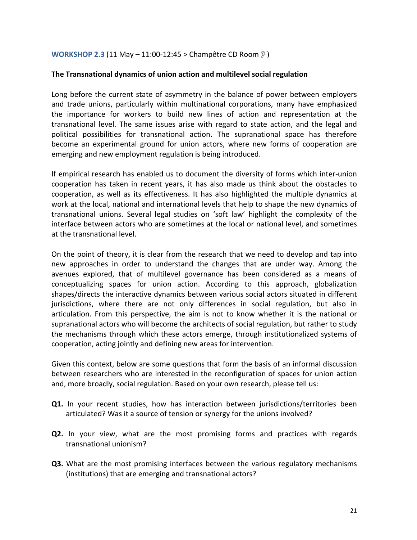**WORKSHOP 2.3 (11 May – 11:00-12:45 > Champêtre CD Room**  $\sqrt[9]{ }$ **)** 

#### **The Transnational dynamics of union action and multilevel social regulation**

Long before the current state of asymmetry in the balance of power between employers and trade unions, particularly within multinational corporations, many have emphasized the importance for workers to build new lines of action and representation at the transnational level. The same issues arise with regard to state action, and the legal and political possibilities for transnational action. The supranational space has therefore become an experimental ground for union actors, where new forms of cooperation are emerging and new employment regulation is being introduced.

If empirical research has enabled us to document the diversity of forms which inter-union cooperation has taken in recent years, it has also made us think about the obstacles to cooperation, as well as its effectiveness. It has also highlighted the multiple dynamics at work at the local, national and international levels that help to shape the new dynamics of transnational unions. Several legal studies on 'soft law' highlight the complexity of the interface between actors who are sometimes at the local or national level, and sometimes at the transnational level.

On the point of theory, it is clear from the research that we need to develop and tap into new approaches in order to understand the changes that are under way. Among the avenues explored, that of multilevel governance has been considered as a means of conceptualizing spaces for union action. According to this approach, globalization shapes/directs the interactive dynamics between various social actors situated in different jurisdictions, where there are not only differences in social regulation, but also in articulation. From this perspective, the aim is not to know whether it is the national or supranational actors who will become the architects of social regulation, but rather to study the mechanisms through which these actors emerge, through institutionalized systems of cooperation, acting jointly and defining new areas for intervention.

Given this context, below are some questions that form the basis of an informal discussion between researchers who are interested in the reconfiguration of spaces for union action and, more broadly, social regulation. Based on your own research, please tell us:

- **Q1.** In your recent studies, how has interaction between jurisdictions/territories been articulated? Was it a source of tension or synergy for the unions involved?
- **Q2.** In your view, what are the most promising forms and practices with regards transnational unionism?
- **Q3.** What are the most promising interfaces between the various regulatory mechanisms (institutions) that are emerging and transnational actors?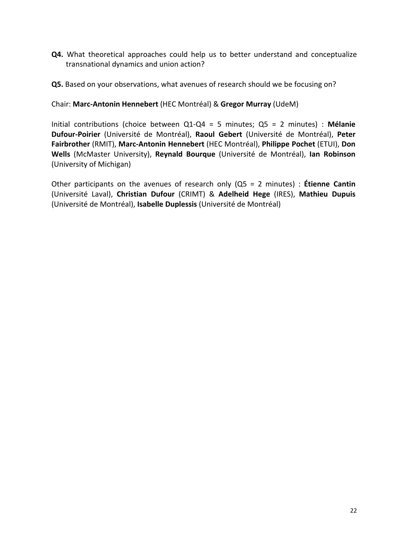- **Q4.** What theoretical approaches could help us to better understand and conceptualize transnational dynamics and union action?
- **Q5.** Based on your observations, what avenues of research should we be focusing on?

#### Chair: Marc-Antonin Hennebert (HEC Montréal) & Gregor Murray (UdeM)

Initial contributions (choice between Q1-Q4 = 5 minutes; Q5 = 2 minutes) : Mélanie **Dufour-Poirier** (Université de Montréal), Raoul Gebert (Université de Montréal), Peter Fairbrother (RMIT), Marc-Antonin Hennebert (HEC Montréal), Philippe Pochet (ETUI), Don Wells (McMaster University), Reynald Bourque (Université de Montréal), Ian Robinson (University of Michigan)

Other participants on the avenues of research only (Q5 = 2 minutes) : **Étienne Cantin** (Université" Laval)," **Christian( Dufour** (CRIMT) & **Adelheid( Hege** (IRES)," **Mathieu( Dupuis** (Université de Montréal), Isabelle Duplessis (Université de Montréal)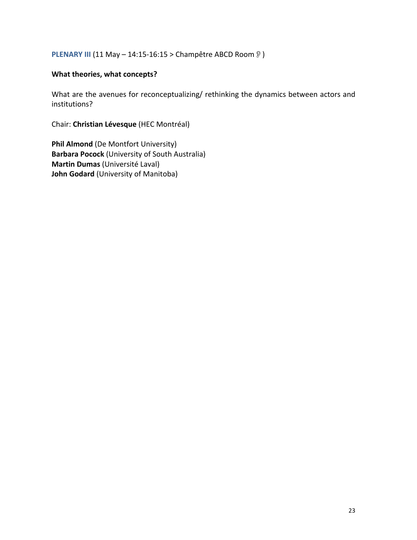## **PLENARY III** (11 May – 14:15-16:15 > Champêtre ABCD Room  $\sqrt[9]{ }$ )

#### **What theories, what concepts?**

What are the avenues for reconceptualizing/ rethinking the dynamics between actors and institutions?

Chair: Christian Lévesque (HEC Montréal)

**Phil Almond** (De Montfort University) **Barbara Pocock** (University of South Australia) **Martin Dumas** (Université Laval) **John Godard** (University of Manitoba)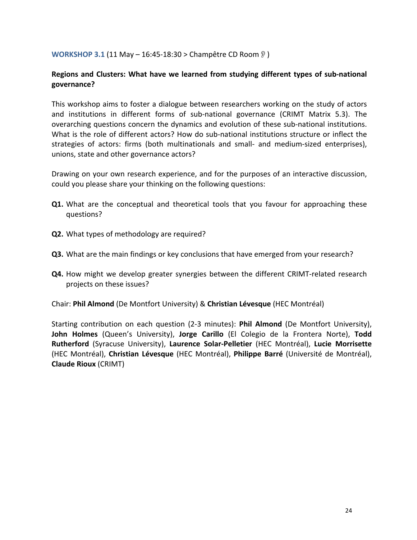#### **WORKSHOP 3.1 (11 May – 16:45-18:30 > Champêtre CD Room )**

## Regions and Clusters: What have we learned from studying different types of sub-national **governance?**

This workshop aims to foster a dialogue between researchers working on the study of actors" and institutions in different forms of sub-national governance (CRIMT Matrix 5.3). The overarching questions concern the dynamics and evolution of these sub-national institutions. What is the role of different actors? How do sub-national institutions structure or inflect the strategies of actors: firms (both multinationals and small- and medium-sized enterprises), unions, state and other governance actors?

Drawing on your own research experience, and for the purposes of an interactive discussion, could you please share your thinking on the following questions:

- **Q1.** What are the conceptual and theoretical tools that you favour for approaching these questions?
- **Q2.** What types of methodology are required?
- **Q3.** What are the main findings or key conclusions that have emerged from your research?
- **Q4.** How might we develop greater synergies between the different CRIMT-related research projects on these issues?

Chair: Phil Almond (De Montfort University) & Christian Lévesque (HEC Montréal)

Starting contribution on each question (2-3 minutes): **Phil Almond** (De Montfort University), John Holmes (Queen's University), Jorge Carillo (El Colegio de la Frontera Norte), Todd **Rutherford** (Syracuse University), Laurence Solar-Pelletier (HEC Montréal), Lucie Morrisette (HEC Montréal), Christian Lévesque (HEC Montréal), Philippe Barré (Université de Montréal), **Claude Rioux** (CRIMT)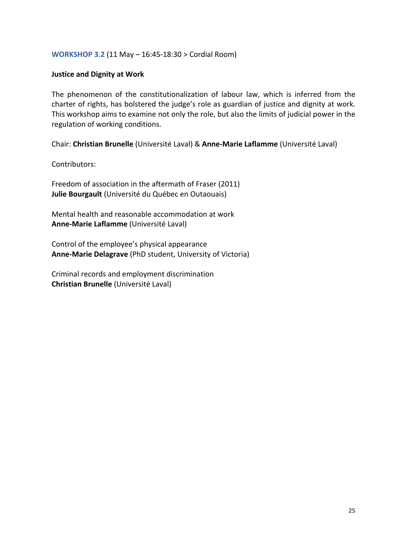#### **WORKSHOP 3.2 (11 May – 16:45-18:30 > Cordial Room)**

#### **Justice and Dignity at Work**

The phenomenon of the constitutionalization of labour law, which is inferred from the charter of rights, has bolstered the judge's role as guardian of justice and dignity at work. This workshop aims to examine not only the role, but also the limits of judicial power in the regulation of working conditions.

Chair: Christian Brunelle (Université Laval) & Anne-Marie Laflamme (Université Laval)

Contributors:

Freedom of association in the aftermath of Fraser (2011) Julie Bourgault (Université du Québec en Outaouais)

Mental health and reasonable accommodation at work **Anne-Marie Laflamme** (Université Laval)

Control of the employee's physical appearance Anne-Marie Delagrave (PhD student, University of Victoria)

Criminal records and employment discrimination **Christian Brunelle** (Université Laval)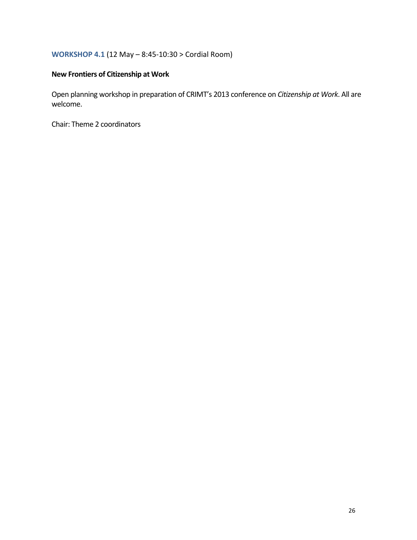## **WORKSHOP 4.1 (12 May – 8:45-10:30 > Cordial Room)**

## **New Frontiers of Citizenship at Work**

Open planning workshop in preparation of CRIMT's 2013 conference on *Citizenship at Work*. All are welcome.

Chair: Theme 2 coordinators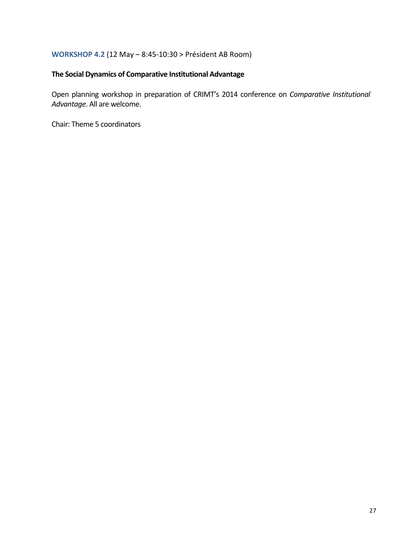#### **WORKSHOP 4.2 (12 May – 8:45-10:30 > Président AB Room)**

#### **The Social Dynamics of Comparative Institutional Advantage**

Open planning workshop in preparation of CRIMT's 2014 conference on *Comparative Institutional* Advantage. All are welcome.

Chair: Theme 5 coordinators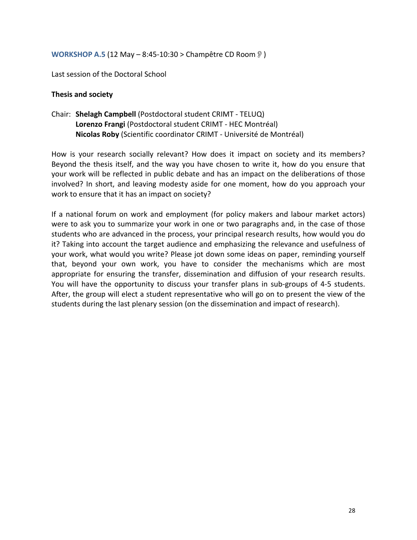#### **WORKSHOP A.5** (12 May – 8:45-10:30 > Champêtre CD Room )

Last session of the Doctoral School

#### **Thesis and society**

Chair: Shelagh Campbell (Postdoctoral student CRIMT - TELUQ) Lorenzo Frangi (Postdoctoral student CRIMT - HEC Montréal) Nicolas Roby (Scientific coordinator CRIMT - Université de Montréal)

How is your research socially relevant? How does it impact on society and its members? Beyond the thesis itself, and the way you have chosen to write it, how do you ensure that your work will be reflected in public debate and has an impact on the deliberations of those involved? In short, and leaving modesty aside for one moment, how do you approach your work to ensure that it has an impact on society?

If a national forum on work and employment (for policy makers and labour market actors) were to ask you to summarize your work in one or two paragraphs and, in the case of those students who are advanced in the process, your principal research results, how would you do it? Taking into account the target audience and emphasizing the relevance and usefulness of your work, what would you write? Please jot down some ideas on paper, reminding yourself that, beyond your own work, you have to consider the mechanisms which are most appropriate for ensuring the transfer, dissemination and diffusion of your research results. You will have the opportunity to discuss your transfer plans in sub-groups of 4-5 students. After, the group will elect a student representative who will go on to present the view of the students during the last plenary session (on the dissemination and impact of research).